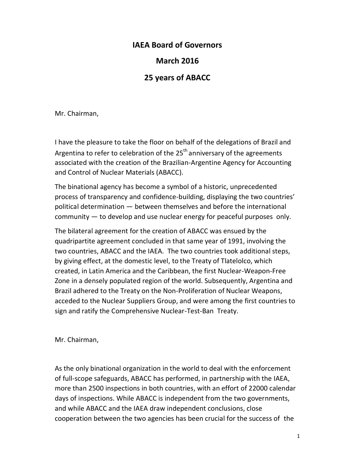## **IAEA Board of Governors**

## **March 2016**

## **25 years of ABACC**

Mr. Chairman,

I have the pleasure to take the floor on behalf of the delegations of Brazil and Argentina to refer to celebration of the  $25<sup>th</sup>$  anniversary of the agreements associated with the creation of the Brazilian-Argentine Agency for Accounting and Control of Nuclear Materials (ABACC).

The binational agency has become a symbol of a historic, unprecedented process of transparency and confidence-building, displaying the two countries' political determination — between themselves and before the international community — to develop and use nuclear energy for peaceful purposes only.

The bilateral agreement for the creation of ABACC was ensued by the quadripartite agreement concluded in that same year of 1991, involving the two countries, ABACC and the IAEA. The two countries took additional steps, by giving effect, at the domestic level, to the Treaty of Tlatelolco, which created, in Latin America and the Caribbean, the first Nuclear-Weapon-Free Zone in a densely populated region of the world. Subsequently, Argentina and Brazil adhered to the Treaty on the Non-Proliferation of Nuclear Weapons, acceded to the Nuclear Suppliers Group, and were among the first countries to sign and ratify the Comprehensive Nuclear-Test-Ban Treaty.

Mr. Chairman,

As the only binational organization in the world to deal with the enforcement of full-scope safeguards, ABACC has performed, in partnership with the IAEA, more than 2500 inspections in both countries, with an effort of 22000 calendar days of inspections. While ABACC is independent from the two governments, and while ABACC and the IAEA draw independent conclusions, close cooperation between the two agencies has been crucial for the success of the